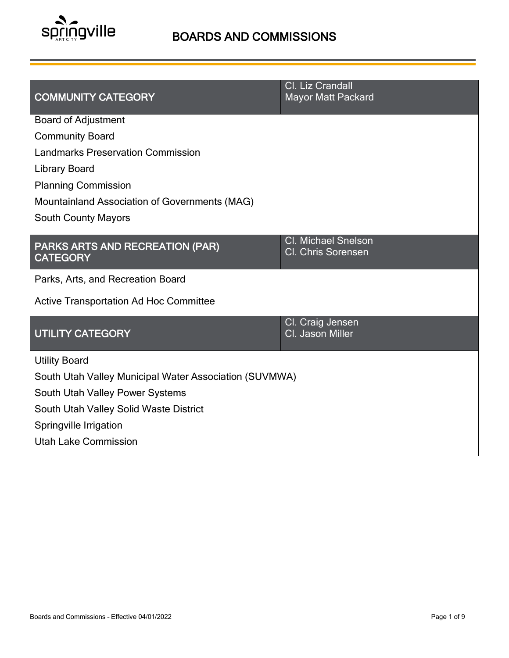

| <b>COMMUNITY CATEGORY</b>                                 | Cl. Liz Crandall<br><b>Mayor Matt Packard</b>           |  |  |
|-----------------------------------------------------------|---------------------------------------------------------|--|--|
| <b>Board of Adjustment</b>                                |                                                         |  |  |
| <b>Community Board</b>                                    |                                                         |  |  |
| <b>Landmarks Preservation Commission</b>                  |                                                         |  |  |
| <b>Library Board</b>                                      |                                                         |  |  |
| <b>Planning Commission</b>                                |                                                         |  |  |
| Mountainland Association of Governments (MAG)             |                                                         |  |  |
| <b>South County Mayors</b>                                |                                                         |  |  |
| <b>PARKS ARTS AND RECREATION (PAR)</b><br><b>CATEGORY</b> | <b>Cl. Michael Snelson</b><br><b>Cl. Chris Sorensen</b> |  |  |
| Parks, Arts, and Recreation Board                         |                                                         |  |  |
| <b>Active Transportation Ad Hoc Committee</b>             |                                                         |  |  |
| <b>UTILITY CATEGORY</b>                                   | Cl. Craig Jensen<br>Cl. Jason Miller                    |  |  |
| <b>Utility Board</b>                                      |                                                         |  |  |
| South Utah Valley Municipal Water Association (SUVMWA)    |                                                         |  |  |
| South Utah Valley Power Systems                           |                                                         |  |  |
| South Utah Valley Solid Waste District                    |                                                         |  |  |
| Springville Irrigation                                    |                                                         |  |  |
| <b>Utah Lake Commission</b>                               |                                                         |  |  |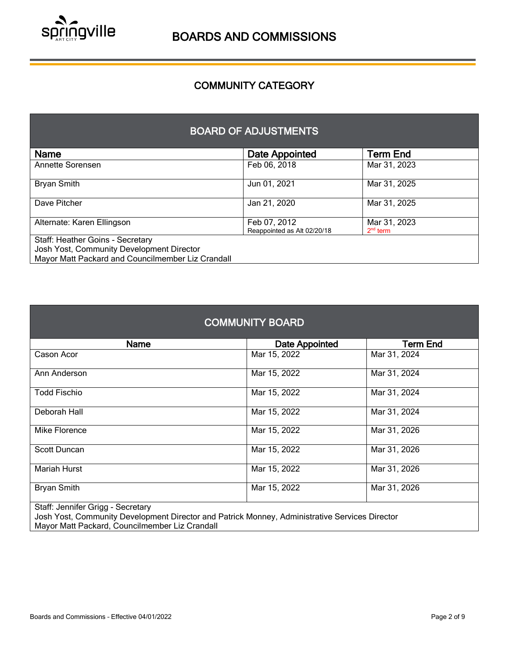

## COMMUNITY CATEGORY

l

### BOARD OF ADJUSTMENTS

| <b>Name</b>                                                                   | Date Appointed                              | Term End                   |
|-------------------------------------------------------------------------------|---------------------------------------------|----------------------------|
| Annette Sorensen                                                              | Feb 06, 2018                                | Mar 31, 2023               |
| <b>Bryan Smith</b>                                                            | Jun 01, 2021                                | Mar 31, 2025               |
| Dave Pitcher                                                                  | Jan 21, 2020                                | Mar 31, 2025               |
| Alternate: Karen Ellingson                                                    | Feb 07, 2012<br>Reappointed as Alt 02/20/18 | Mar 31, 2023<br>$2nd$ term |
| Staff: Heather Goins - Secretary<br>Josh Yost, Community Development Director |                                             |                            |
| Mayor Matt Packard and Councilmember Liz Crandall                             |                                             |                            |

| <b>COMMUNITY BOARD</b>            |                       |                 |
|-----------------------------------|-----------------------|-----------------|
| Name                              | <b>Date Appointed</b> | <b>Term End</b> |
| Cason Acor                        | Mar 15, 2022          | Mar 31, 2024    |
| Ann Anderson                      | Mar 15, 2022          | Mar 31, 2024    |
| <b>Todd Fischio</b>               | Mar 15, 2022          | Mar 31, 2024    |
| Deborah Hall                      | Mar 15, 2022          | Mar 31, 2024    |
| Mike Florence                     | Mar 15, 2022          | Mar 31, 2026    |
| Scott Duncan                      | Mar 15, 2022          | Mar 31, 2026    |
| <b>Mariah Hurst</b>               | Mar 15, 2022          | Mar 31, 2026    |
| <b>Bryan Smith</b>                | Mar 15, 2022          | Mar 31, 2026    |
| Staff: Jonnifor Griga - Socratory |                       |                 |

Staff: Jennifer Grigg - Secretary

Josh Yost, Community Development Director and Patrick Monney, Administrative Services Director Mayor Matt Packard, Councilmember Liz Crandall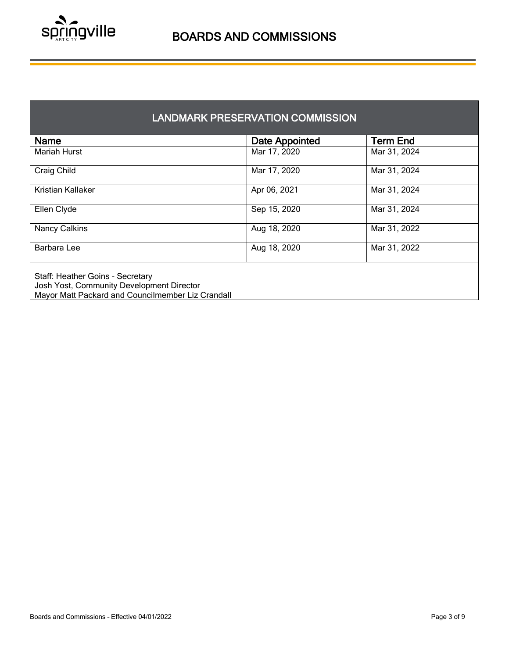

| <b>LANDMARK PRESERVATION COMMISSION</b> |
|-----------------------------------------|
|-----------------------------------------|

| <b>Name</b>                                                                                                                        | Date Appointed | <b>Term End</b> |
|------------------------------------------------------------------------------------------------------------------------------------|----------------|-----------------|
| <b>Mariah Hurst</b>                                                                                                                | Mar 17, 2020   | Mar 31, 2024    |
| Craig Child                                                                                                                        | Mar 17, 2020   | Mar 31, 2024    |
| Kristian Kallaker                                                                                                                  | Apr 06, 2021   | Mar 31, 2024    |
| Ellen Clyde                                                                                                                        | Sep 15, 2020   | Mar 31, 2024    |
| <b>Nancy Calkins</b>                                                                                                               | Aug 18, 2020   | Mar 31, 2022    |
| Barbara Lee                                                                                                                        | Aug 18, 2020   | Mar 31, 2022    |
| Staff: Heather Goins - Secretary<br>Josh Yost, Community Development Director<br>Mayor Matt Packard and Councilmember Liz Crandall |                |                 |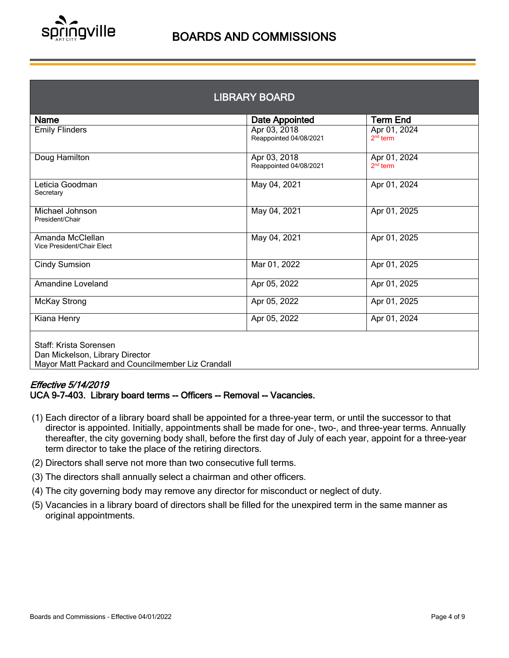

| <b>LIBRARY BOARD</b>                                                                                           |                                        |                            |  |
|----------------------------------------------------------------------------------------------------------------|----------------------------------------|----------------------------|--|
| <b>Name</b>                                                                                                    | Date Appointed                         | <b>Term End</b>            |  |
| <b>Emily Flinders</b>                                                                                          | Apr 03, 2018<br>Reappointed 04/08/2021 | Apr 01, 2024<br>$2nd$ term |  |
| Doug Hamilton                                                                                                  | Apr 03, 2018<br>Reappointed 04/08/2021 | Apr 01, 2024<br>$2nd$ term |  |
| Leticia Goodman<br>Secretary                                                                                   | May 04, 2021                           | Apr 01, 2024               |  |
| Michael Johnson<br>President/Chair                                                                             | May 04, 2021                           | Apr 01, 2025               |  |
| Amanda McClellan<br>Vice President/Chair Elect                                                                 | May 04, 2021                           | Apr 01, 2025               |  |
| <b>Cindy Sumsion</b>                                                                                           | Mar 01, 2022                           | Apr 01, 2025               |  |
| <b>Amandine Loveland</b>                                                                                       | Apr 05, 2022                           | Apr 01, 2025               |  |
| <b>McKay Strong</b>                                                                                            | Apr 05, 2022                           | Apr 01, 2025               |  |
| Kiana Henry                                                                                                    | Apr 05, 2022                           | Apr 01, 2024               |  |
| Staff: Krista Sorensen<br>Dan Mickelson, Library Director<br>Mayor Matt Packard and Councilmember Liz Crandall |                                        |                            |  |

#### Effective 5/14/2019 UCA 9-7-403. Library board terms -- Officers -- Removal -- Vacancies.

- (1) Each director of a library board shall be appointed for a three-year term, or until the successor to that director is appointed. Initially, appointments shall be made for one-, two-, and three-year terms. Annually thereafter, the city governing body shall, before the first day of July of each year, appoint for a three-year term director to take the place of the retiring directors.
- (2) Directors shall serve not more than two consecutive full terms.
- (3) The directors shall annually select a chairman and other officers.
- (4) The city governing body may remove any director for misconduct or neglect of duty.
- (5) Vacancies in a library board of directors shall be filled for the unexpired term in the same manner as original appointments.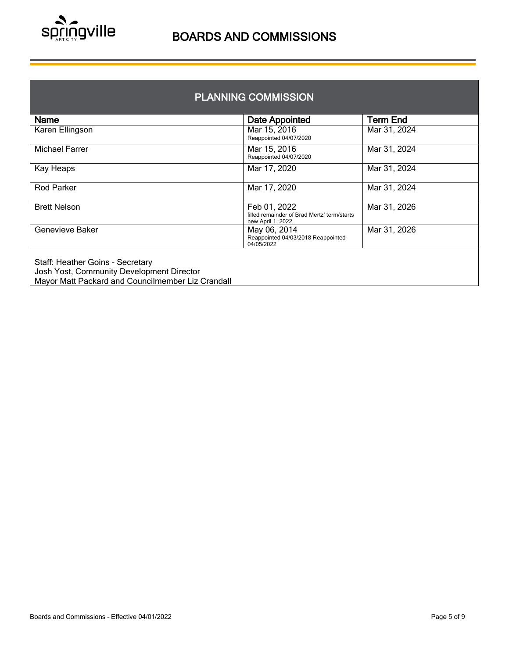

| <b>PLANNING COMMISSION</b>                                                                                                         |                                                                                  |                 |  |
|------------------------------------------------------------------------------------------------------------------------------------|----------------------------------------------------------------------------------|-----------------|--|
| <b>Name</b>                                                                                                                        | <b>Date Appointed</b>                                                            | <b>Term End</b> |  |
| Karen Ellingson                                                                                                                    | Mar 15, 2016<br>Reappointed 04/07/2020                                           | Mar 31, 2024    |  |
| Michael Farrer                                                                                                                     | Mar 15, 2016<br>Reappointed 04/07/2020                                           | Mar 31, 2024    |  |
| Kay Heaps                                                                                                                          | Mar 17, 2020                                                                     | Mar 31, 2024    |  |
| <b>Rod Parker</b>                                                                                                                  | Mar 17, 2020                                                                     | Mar 31, 2024    |  |
| <b>Brett Nelson</b>                                                                                                                | Feb 01, 2022<br>filled remainder of Brad Mertz' term/starts<br>new April 1, 2022 | Mar 31, 2026    |  |
| Genevieve Baker                                                                                                                    | May 06, 2014<br>Reappointed 04/03/2018 Reappointed<br>04/05/2022                 | Mar 31, 2026    |  |
| Staff: Heather Goins - Secretary<br>Josh Yost, Community Development Director<br>Mayor Matt Packard and Councilmember Liz Crandall |                                                                                  |                 |  |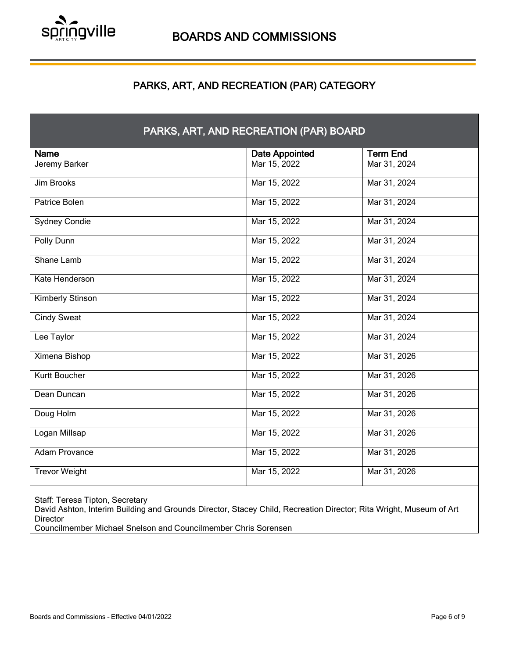

## PARKS, ART, AND RECREATION (PAR) CATEGORY

l

| Name                 | <b>Date Appointed</b> | <b>Term End</b> |
|----------------------|-----------------------|-----------------|
| Jeremy Barker        | Mar 15, 2022          | Mar 31, 2024    |
| Jim Brooks           | Mar 15, 2022          | Mar 31, 2024    |
| Patrice Bolen        | Mar 15, 2022          | Mar 31, 2024    |
| <b>Sydney Condie</b> | Mar 15, 2022          | Mar 31, 2024    |
| Polly Dunn           | Mar 15, 2022          | Mar 31, 2024    |
| Shane Lamb           | Mar 15, 2022          | Mar 31, 2024    |
| Kate Henderson       | Mar 15, 2022          | Mar 31, 2024    |
| Kimberly Stinson     | Mar 15, 2022          | Mar 31, 2024    |
| <b>Cindy Sweat</b>   | Mar 15, 2022          | Mar 31, 2024    |
| Lee Taylor           | Mar 15, 2022          | Mar 31, 2024    |
| <b>Ximena Bishop</b> | Mar 15, 2022          | Mar 31, 2026    |
| Kurtt Boucher        | Mar 15, 2022          | Mar 31, 2026    |
| Dean Duncan          | Mar 15, 2022          | Mar 31, 2026    |
| Doug Holm            | Mar 15, 2022          | Mar 31, 2026    |
| Logan Millsap        | Mar 15, 2022          | Mar 31, 2026    |
| <b>Adam Provance</b> | Mar 15, 2022          | Mar 31, 2026    |
| <b>Trevor Weight</b> | Mar 15, 2022          | Mar 31, 2026    |

Staff: Teresa Tipton, Secretary

David Ashton, Interim Building and Grounds Director, Stacey Child, Recreation Director; Rita Wright, Museum of Art Director

Councilmember Michael Snelson and Councilmember Chris Sorensen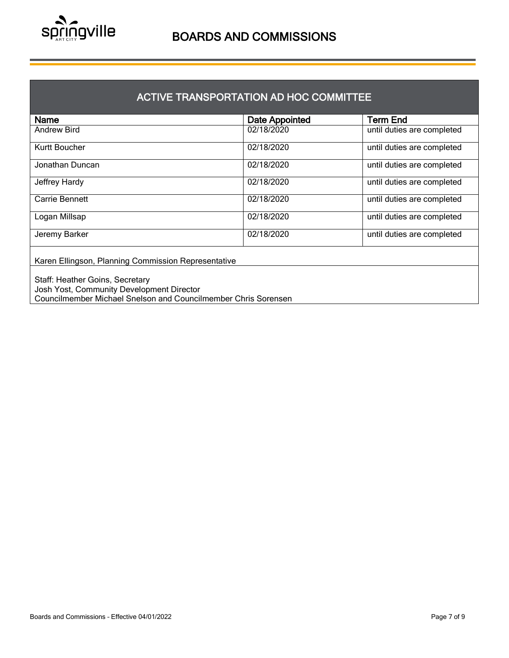

## ACTIVE TRANSPORTATION AD HOC COMMITTEE

| Name                                                                                                                                           | <b>Date Appointed</b> | <b>Term End</b>            |  |
|------------------------------------------------------------------------------------------------------------------------------------------------|-----------------------|----------------------------|--|
| <b>Andrew Bird</b>                                                                                                                             | 02/18/2020            | until duties are completed |  |
| Kurtt Boucher                                                                                                                                  | 02/18/2020            | until duties are completed |  |
| Jonathan Duncan                                                                                                                                | 02/18/2020            | until duties are completed |  |
| Jeffrey Hardy                                                                                                                                  | 02/18/2020            | until duties are completed |  |
| Carrie Bennett                                                                                                                                 | 02/18/2020            | until duties are completed |  |
| Logan Millsap                                                                                                                                  | 02/18/2020            | until duties are completed |  |
| Jeremy Barker                                                                                                                                  | 02/18/2020            | until duties are completed |  |
| Karen Ellingson, Planning Commission Representative                                                                                            |                       |                            |  |
| Staff: Heather Goins, Secretary<br>Josh Yost, Community Development Director<br>Councilmember Michael Snelson and Councilmember Chris Sorensen |                       |                            |  |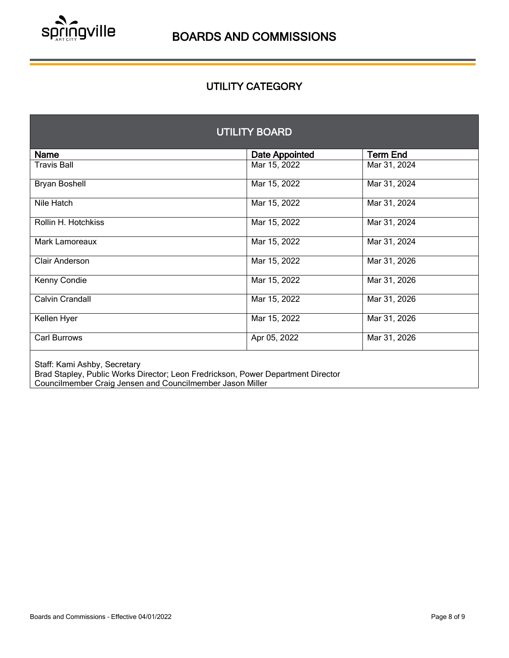

## UTILITY CATEGORY

| <b>UTILITY BOARD</b>         |                       |                 |  |
|------------------------------|-----------------------|-----------------|--|
| <b>Name</b>                  | <b>Date Appointed</b> | <b>Term End</b> |  |
| <b>Travis Ball</b>           | Mar 15, 2022          | Mar 31, 2024    |  |
| <b>Bryan Boshell</b>         | Mar 15, 2022          | Mar 31, 2024    |  |
| Nile Hatch                   | Mar 15, 2022          | Mar 31, 2024    |  |
| Rollin H. Hotchkiss          | Mar 15, 2022          | Mar 31, 2024    |  |
| Mark Lamoreaux               | Mar 15, 2022          | Mar 31, 2024    |  |
| Clair Anderson               | Mar 15, 2022          | Mar 31, 2026    |  |
| Kenny Condie                 | Mar 15, 2022          | Mar 31, 2026    |  |
| Calvin Crandall              | Mar 15, 2022          | Mar 31, 2026    |  |
| Kellen Hyer                  | Mar 15, 2022          | Mar 31, 2026    |  |
| Carl Burrows                 | Apr 05, 2022          | Mar 31, 2026    |  |
| Staff: Kami Ashby, Secretary |                       |                 |  |

Staff: Kami Ashby, Secretary

Brad Stapley, Public Works Director; Leon Fredrickson, Power Department Director Councilmember Craig Jensen and Councilmember Jason Miller